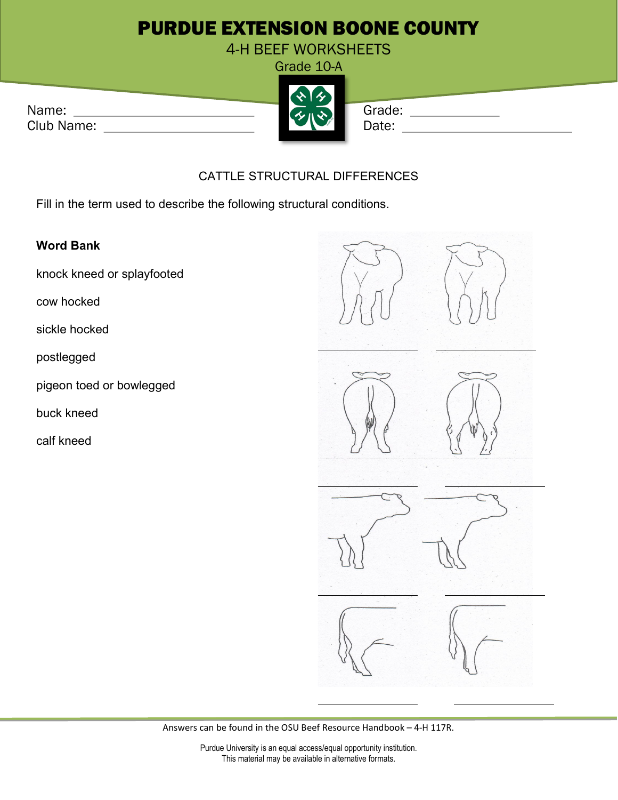## PURDUE EXTENSION BOONE COUNTY

4-H BEEF WORKSHEETS

|            | . |        |
|------------|---|--------|
| Name:      |   | Grade: |
| Club Name: |   | Date:  |



## CATTLE STRUCTURAL DIFFERENCES

Fill in the term used to describe the following structural conditions.

## Word Bank

knock kneed or splayfooted

cow hocked

sickle hocked

postlegged

pigeon toed or bowlegged

buck kneed

calf kneed